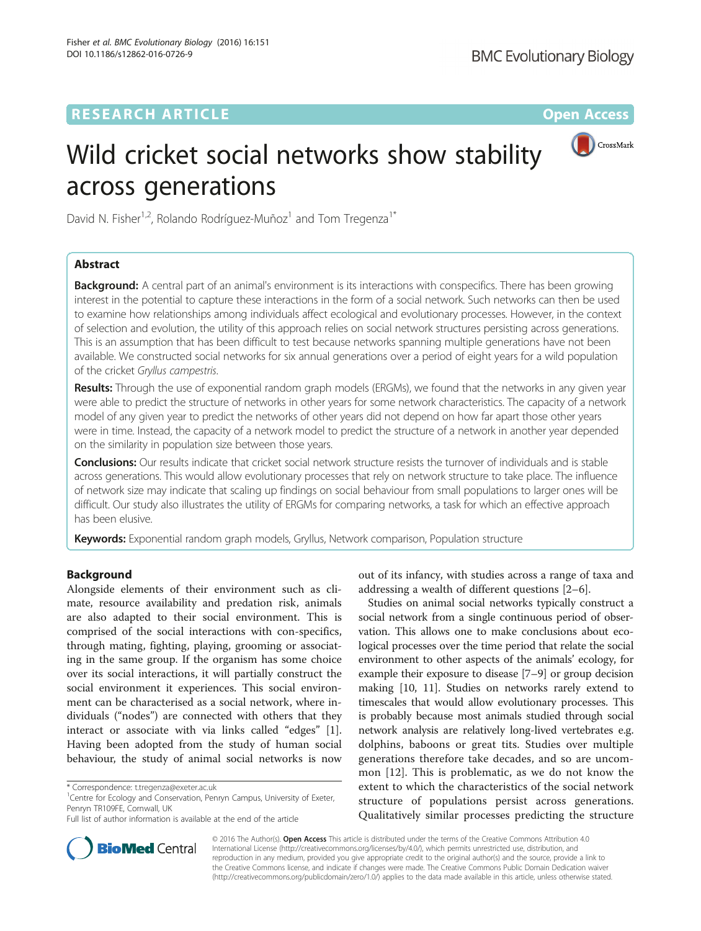## **RESEARCH ARTICLE External Structure Community Community Community Community Community Community Community Community**



# Wild cricket social networks show stability across generations

David N. Fisher<sup>1,2</sup>, Rolando Rodríguez-Muñoz<sup>1</sup> and Tom Tregenza<sup>1\*</sup>

## Abstract

Background: A central part of an animal's environment is its interactions with conspecifics. There has been growing interest in the potential to capture these interactions in the form of a social network. Such networks can then be used to examine how relationships among individuals affect ecological and evolutionary processes. However, in the context of selection and evolution, the utility of this approach relies on social network structures persisting across generations. This is an assumption that has been difficult to test because networks spanning multiple generations have not been available. We constructed social networks for six annual generations over a period of eight years for a wild population of the cricket Gryllus campestris.

Results: Through the use of exponential random graph models (ERGMs), we found that the networks in any given year were able to predict the structure of networks in other years for some network characteristics. The capacity of a network model of any given year to predict the networks of other years did not depend on how far apart those other years were in time. Instead, the capacity of a network model to predict the structure of a network in another year depended on the similarity in population size between those years.

Conclusions: Our results indicate that cricket social network structure resists the turnover of individuals and is stable across generations. This would allow evolutionary processes that rely on network structure to take place. The influence of network size may indicate that scaling up findings on social behaviour from small populations to larger ones will be difficult. Our study also illustrates the utility of ERGMs for comparing networks, a task for which an effective approach has been elusive.

Keywords: Exponential random graph models, Gryllus, Network comparison, Population structure

## Background

Alongside elements of their environment such as climate, resource availability and predation risk, animals are also adapted to their social environment. This is comprised of the social interactions with con-specifics, through mating, fighting, playing, grooming or associating in the same group. If the organism has some choice over its social interactions, it will partially construct the social environment it experiences. This social environment can be characterised as a social network, where individuals ("nodes") are connected with others that they interact or associate with via links called "edges" [\[1](#page-7-0)]. Having been adopted from the study of human social behaviour, the study of animal social networks is now

<sup>1</sup> Centre for Ecology and Conservation, Penryn Campus, University of Exeter, Penryn TR109FE, Cornwall, UK

out of its infancy, with studies across a range of taxa and addressing a wealth of different questions [\[2](#page-7-0)–[6\]](#page-8-0).

Studies on animal social networks typically construct a social network from a single continuous period of observation. This allows one to make conclusions about ecological processes over the time period that relate the social environment to other aspects of the animals' ecology, for example their exposure to disease [\[7](#page-8-0)–[9\]](#page-8-0) or group decision making [[10](#page-8-0), [11](#page-8-0)]. Studies on networks rarely extend to timescales that would allow evolutionary processes. This is probably because most animals studied through social network analysis are relatively long-lived vertebrates e.g. dolphins, baboons or great tits. Studies over multiple generations therefore take decades, and so are uncommon [[12\]](#page-8-0). This is problematic, as we do not know the extent to which the characteristics of the social network structure of populations persist across generations. Qualitatively similar processes predicting the structure



© 2016 The Author(s). Open Access This article is distributed under the terms of the Creative Commons Attribution 4.0 International License [\(http://creativecommons.org/licenses/by/4.0/](http://creativecommons.org/licenses/by/4.0/)), which permits unrestricted use, distribution, and reproduction in any medium, provided you give appropriate credit to the original author(s) and the source, provide a link to the Creative Commons license, and indicate if changes were made. The Creative Commons Public Domain Dedication waiver [\(http://creativecommons.org/publicdomain/zero/1.0/](http://creativecommons.org/publicdomain/zero/1.0/)) applies to the data made available in this article, unless otherwise stated.

<sup>\*</sup> Correspondence: [t.tregenza@exeter.ac.uk](mailto:t.tregenza@exeter.ac.uk) <sup>1</sup>

Full list of author information is available at the end of the article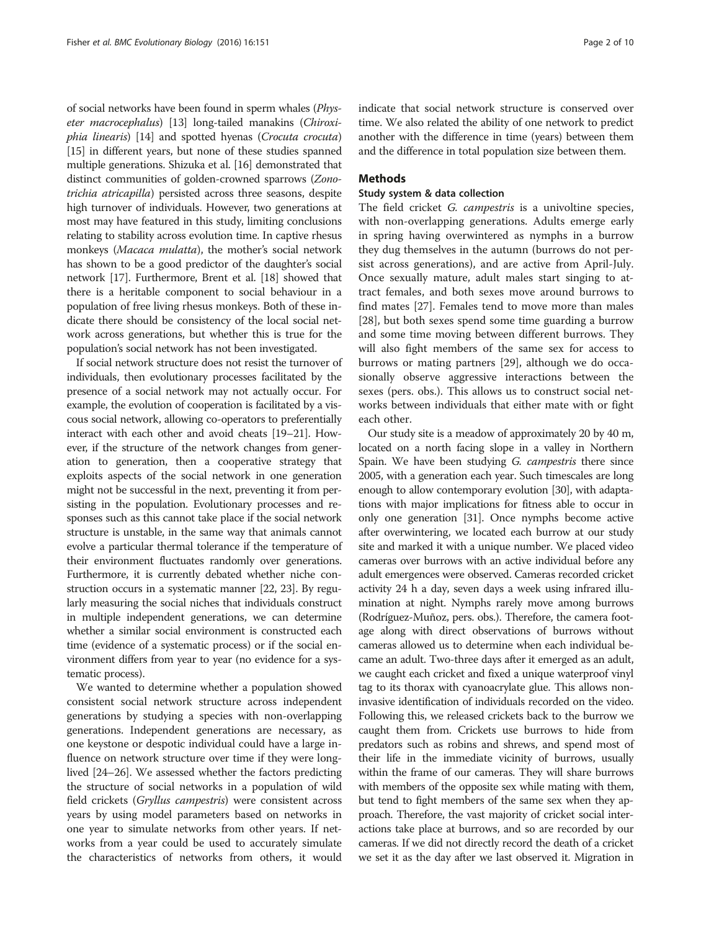of social networks have been found in sperm whales (Physeter macrocephalus) [[13](#page-8-0)] long-tailed manakins (Chiroxiphia linearis) [\[14](#page-8-0)] and spotted hyenas (Crocuta crocuta) [[15](#page-8-0)] in different years, but none of these studies spanned multiple generations. Shizuka et al. [[16](#page-8-0)] demonstrated that distinct communities of golden-crowned sparrows (Zonotrichia atricapilla) persisted across three seasons, despite high turnover of individuals. However, two generations at most may have featured in this study, limiting conclusions relating to stability across evolution time. In captive rhesus monkeys (Macaca mulatta), the mother's social network has shown to be a good predictor of the daughter's social network [\[17](#page-8-0)]. Furthermore, Brent et al. [\[18\]](#page-8-0) showed that there is a heritable component to social behaviour in a population of free living rhesus monkeys. Both of these indicate there should be consistency of the local social network across generations, but whether this is true for the population's social network has not been investigated.

If social network structure does not resist the turnover of individuals, then evolutionary processes facilitated by the presence of a social network may not actually occur. For example, the evolution of cooperation is facilitated by a viscous social network, allowing co-operators to preferentially interact with each other and avoid cheats [\[19](#page-8-0)–[21\]](#page-8-0). However, if the structure of the network changes from generation to generation, then a cooperative strategy that exploits aspects of the social network in one generation might not be successful in the next, preventing it from persisting in the population. Evolutionary processes and responses such as this cannot take place if the social network structure is unstable, in the same way that animals cannot evolve a particular thermal tolerance if the temperature of their environment fluctuates randomly over generations. Furthermore, it is currently debated whether niche construction occurs in a systematic manner [[22](#page-8-0), [23\]](#page-8-0). By regularly measuring the social niches that individuals construct in multiple independent generations, we can determine whether a similar social environment is constructed each time (evidence of a systematic process) or if the social environment differs from year to year (no evidence for a systematic process).

We wanted to determine whether a population showed consistent social network structure across independent generations by studying a species with non-overlapping generations. Independent generations are necessary, as one keystone or despotic individual could have a large influence on network structure over time if they were longlived [[24](#page-8-0)–[26\]](#page-8-0). We assessed whether the factors predicting the structure of social networks in a population of wild field crickets (Gryllus campestris) were consistent across years by using model parameters based on networks in one year to simulate networks from other years. If networks from a year could be used to accurately simulate the characteristics of networks from others, it would indicate that social network structure is conserved over time. We also related the ability of one network to predict another with the difference in time (years) between them and the difference in total population size between them.

## Methods

## Study system & data collection

The field cricket *G. campestris* is a univoltine species, with non-overlapping generations. Adults emerge early in spring having overwintered as nymphs in a burrow they dug themselves in the autumn (burrows do not persist across generations), and are active from April-July. Once sexually mature, adult males start singing to attract females, and both sexes move around burrows to find mates [[27\]](#page-8-0). Females tend to move more than males [[28\]](#page-8-0), but both sexes spend some time guarding a burrow and some time moving between different burrows. They will also fight members of the same sex for access to burrows or mating partners [\[29](#page-8-0)], although we do occasionally observe aggressive interactions between the sexes (pers. obs.). This allows us to construct social networks between individuals that either mate with or fight each other.

Our study site is a meadow of approximately 20 by 40 m, located on a north facing slope in a valley in Northern Spain. We have been studying G. campestris there since 2005, with a generation each year. Such timescales are long enough to allow contemporary evolution [[30](#page-8-0)], with adaptations with major implications for fitness able to occur in only one generation [[31](#page-8-0)]. Once nymphs become active after overwintering, we located each burrow at our study site and marked it with a unique number. We placed video cameras over burrows with an active individual before any adult emergences were observed. Cameras recorded cricket activity 24 h a day, seven days a week using infrared illumination at night. Nymphs rarely move among burrows (Rodríguez-Muñoz, pers. obs.). Therefore, the camera footage along with direct observations of burrows without cameras allowed us to determine when each individual became an adult. Two-three days after it emerged as an adult, we caught each cricket and fixed a unique waterproof vinyl tag to its thorax with cyanoacrylate glue. This allows noninvasive identification of individuals recorded on the video. Following this, we released crickets back to the burrow we caught them from. Crickets use burrows to hide from predators such as robins and shrews, and spend most of their life in the immediate vicinity of burrows, usually within the frame of our cameras. They will share burrows with members of the opposite sex while mating with them, but tend to fight members of the same sex when they approach. Therefore, the vast majority of cricket social interactions take place at burrows, and so are recorded by our cameras. If we did not directly record the death of a cricket we set it as the day after we last observed it. Migration in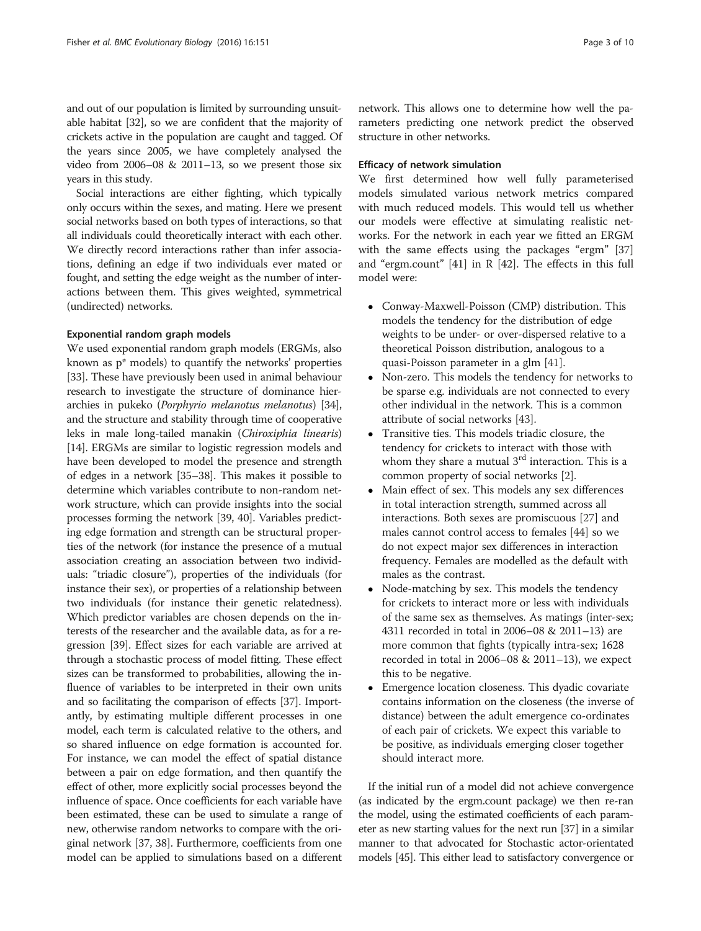and out of our population is limited by surrounding unsuitable habitat [[32](#page-8-0)], so we are confident that the majority of crickets active in the population are caught and tagged. Of the years since 2005, we have completely analysed the video from 2006–08 & 2011–13, so we present those six years in this study.

Social interactions are either fighting, which typically only occurs within the sexes, and mating. Here we present social networks based on both types of interactions, so that all individuals could theoretically interact with each other. We directly record interactions rather than infer associations, defining an edge if two individuals ever mated or fought, and setting the edge weight as the number of interactions between them. This gives weighted, symmetrical (undirected) networks.

#### Exponential random graph models

We used exponential random graph models (ERGMs, also known as p\* models) to quantify the networks' properties [[33](#page-8-0)]. These have previously been used in animal behaviour research to investigate the structure of dominance hierarchies in pukeko (Porphyrio melanotus melanotus) [[34](#page-8-0)], and the structure and stability through time of cooperative leks in male long-tailed manakin (Chiroxiphia linearis) [[14](#page-8-0)]. ERGMs are similar to logistic regression models and have been developed to model the presence and strength of edges in a network [\[35](#page-8-0)–[38](#page-8-0)]. This makes it possible to determine which variables contribute to non-random network structure, which can provide insights into the social processes forming the network [\[39, 40\]](#page-8-0). Variables predicting edge formation and strength can be structural properties of the network (for instance the presence of a mutual association creating an association between two individuals: "triadic closure"), properties of the individuals (for instance their sex), or properties of a relationship between two individuals (for instance their genetic relatedness). Which predictor variables are chosen depends on the interests of the researcher and the available data, as for a regression [\[39\]](#page-8-0). Effect sizes for each variable are arrived at through a stochastic process of model fitting. These effect sizes can be transformed to probabilities, allowing the influence of variables to be interpreted in their own units and so facilitating the comparison of effects [\[37\]](#page-8-0). Importantly, by estimating multiple different processes in one model, each term is calculated relative to the others, and so shared influence on edge formation is accounted for. For instance, we can model the effect of spatial distance between a pair on edge formation, and then quantify the effect of other, more explicitly social processes beyond the influence of space. Once coefficients for each variable have been estimated, these can be used to simulate a range of new, otherwise random networks to compare with the original network [[37](#page-8-0), [38\]](#page-8-0). Furthermore, coefficients from one model can be applied to simulations based on a different

network. This allows one to determine how well the parameters predicting one network predict the observed structure in other networks.

## Efficacy of network simulation

We first determined how well fully parameterised models simulated various network metrics compared with much reduced models. This would tell us whether our models were effective at simulating realistic networks. For the network in each year we fitted an ERGM with the same effects using the packages "ergm" [[37](#page-8-0)] and "ergm.count" [\[41](#page-8-0)] in R [[42\]](#page-8-0). The effects in this full model were:

- Conway-Maxwell-Poisson (CMP) distribution. This models the tendency for the distribution of edge weights to be under- or over-dispersed relative to a theoretical Poisson distribution, analogous to a quasi-Poisson parameter in a glm [[41](#page-8-0)].
- Non-zero. This models the tendency for networks to be sparse e.g. individuals are not connected to every other individual in the network. This is a common attribute of social networks [[43\]](#page-8-0).
- Transitive ties. This models triadic closure, the tendency for crickets to interact with those with whom they share a mutual  $3<sup>rd</sup>$  interaction. This is a common property of social networks [[2\]](#page-7-0).
- Main effect of sex. This models any sex differences in total interaction strength, summed across all interactions. Both sexes are promiscuous [[27](#page-8-0)] and males cannot control access to females [[44](#page-8-0)] so we do not expect major sex differences in interaction frequency. Females are modelled as the default with males as the contrast.
- Node-matching by sex. This models the tendency for crickets to interact more or less with individuals of the same sex as themselves. As matings (inter-sex; 4311 recorded in total in 2006–08 & 2011–13) are more common that fights (typically intra-sex; 1628 recorded in total in 2006–08 & 2011–13), we expect this to be negative.
- Emergence location closeness. This dyadic covariate contains information on the closeness (the inverse of distance) between the adult emergence co-ordinates of each pair of crickets. We expect this variable to be positive, as individuals emerging closer together should interact more.

If the initial run of a model did not achieve convergence (as indicated by the ergm.count package) we then re-ran the model, using the estimated coefficients of each parameter as new starting values for the next run [\[37\]](#page-8-0) in a similar manner to that advocated for Stochastic actor-orientated models [\[45](#page-8-0)]. This either lead to satisfactory convergence or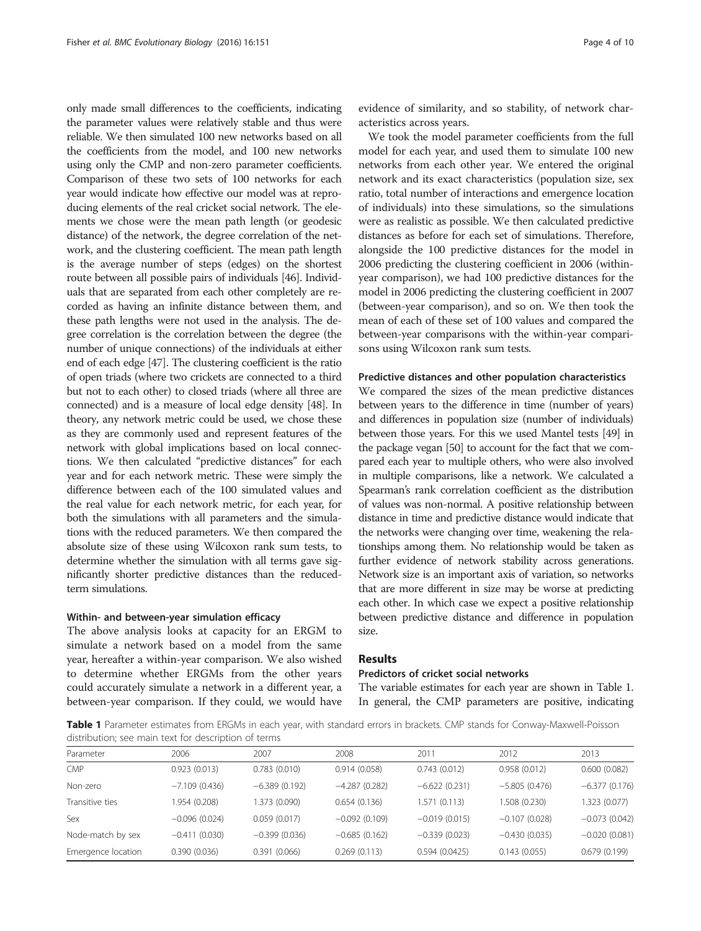only made small differences to the coefficients, indicating the parameter values were relatively stable and thus were reliable. We then simulated 100 new networks based on all the coefficients from the model, and 100 new networks using only the CMP and non-zero parameter coefficients. Comparison of these two sets of 100 networks for each year would indicate how effective our model was at reproducing elements of the real cricket social network. The elements we chose were the mean path length (or geodesic distance) of the network, the degree correlation of the network, and the clustering coefficient. The mean path length is the average number of steps (edges) on the shortest route between all possible pairs of individuals [\[46\]](#page-8-0). Individuals that are separated from each other completely are recorded as having an infinite distance between them, and these path lengths were not used in the analysis. The degree correlation is the correlation between the degree (the number of unique connections) of the individuals at either end of each edge [[47](#page-8-0)]. The clustering coefficient is the ratio of open triads (where two crickets are connected to a third but not to each other) to closed triads (where all three are connected) and is a measure of local edge density [\[48\]](#page-8-0). In theory, any network metric could be used, we chose these as they are commonly used and represent features of the network with global implications based on local connections. We then calculated "predictive distances" for each year and for each network metric. These were simply the difference between each of the 100 simulated values and the real value for each network metric, for each year, for both the simulations with all parameters and the simulations with the reduced parameters. We then compared the absolute size of these using Wilcoxon rank sum tests, to determine whether the simulation with all terms gave significantly shorter predictive distances than the reducedterm simulations.

#### Within- and between-year simulation efficacy

The above analysis looks at capacity for an ERGM to simulate a network based on a model from the same year, hereafter a within-year comparison. We also wished to determine whether ERGMs from the other years could accurately simulate a network in a different year, a between-year comparison. If they could, we would have evidence of similarity, and so stability, of network characteristics across years.

We took the model parameter coefficients from the full model for each year, and used them to simulate 100 new networks from each other year. We entered the original network and its exact characteristics (population size, sex ratio, total number of interactions and emergence location of individuals) into these simulations, so the simulations were as realistic as possible. We then calculated predictive distances as before for each set of simulations. Therefore, alongside the 100 predictive distances for the model in 2006 predicting the clustering coefficient in 2006 (withinyear comparison), we had 100 predictive distances for the model in 2006 predicting the clustering coefficient in 2007 (between-year comparison), and so on. We then took the mean of each of these set of 100 values and compared the between-year comparisons with the within-year comparisons using Wilcoxon rank sum tests.

#### Predictive distances and other population characteristics

We compared the sizes of the mean predictive distances between years to the difference in time (number of years) and differences in population size (number of individuals) between those years. For this we used Mantel tests [\[49](#page-9-0)] in the package vegan [[50](#page-9-0)] to account for the fact that we compared each year to multiple others, who were also involved in multiple comparisons, like a network. We calculated a Spearman's rank correlation coefficient as the distribution of values was non-normal. A positive relationship between distance in time and predictive distance would indicate that the networks were changing over time, weakening the relationships among them. No relationship would be taken as further evidence of network stability across generations. Network size is an important axis of variation, so networks that are more different in size may be worse at predicting each other. In which case we expect a positive relationship between predictive distance and difference in population size.

## Results

## Predictors of cricket social networks

The variable estimates for each year are shown in Table 1. In general, the CMP parameters are positive, indicating

Table 1 Parameter estimates from ERGMs in each year, with standard errors in brackets. CMP stands for Conway-Maxwell-Poisson distribution; see main text for description of terms

| Parameter          | 2006            | 2007            | 2008            | 2011            | 2012            | 2013            |
|--------------------|-----------------|-----------------|-----------------|-----------------|-----------------|-----------------|
| CMP                | 0.923(0.013)    | 0.783(0.010)    | 0.914(0.058)    | 0.743(0.012)    | 0.958(0.012)    | 0.600(0.082)    |
| Non-zero           | $-7.109(0.436)$ | $-6.389(0.192)$ | $-4.287(0.282)$ | $-6.622(0.231)$ | $-5.805(0.476)$ | $-6.377(0.176)$ |
| Transitive ties    | 1.954 (0.208)   | 1.373 (0.090)   | 0.654(0.136)    | 1.571 (0.113)   | 1.508 (0.230)   | 1.323 (0.077)   |
| Sex                | $-0.096(0.024)$ | 0.059(0.017)    | $-0.092(0.109)$ | $-0.019(0.015)$ | $-0.107(0.028)$ | $-0.073(0.042)$ |
| Node-match by sex  | $-0.411(0.030)$ | $-0.399(0.036)$ | $-0.685(0.162)$ | $-0.339(0.023)$ | $-0.430(0.035)$ | $-0.020(0.081)$ |
| Emergence location | 0.390(0.036)    | 0.391(0.066)    | 0.269(0.113)    | 0.594(0.0425)   | 0.143(0.055)    | 0.679(0.199)    |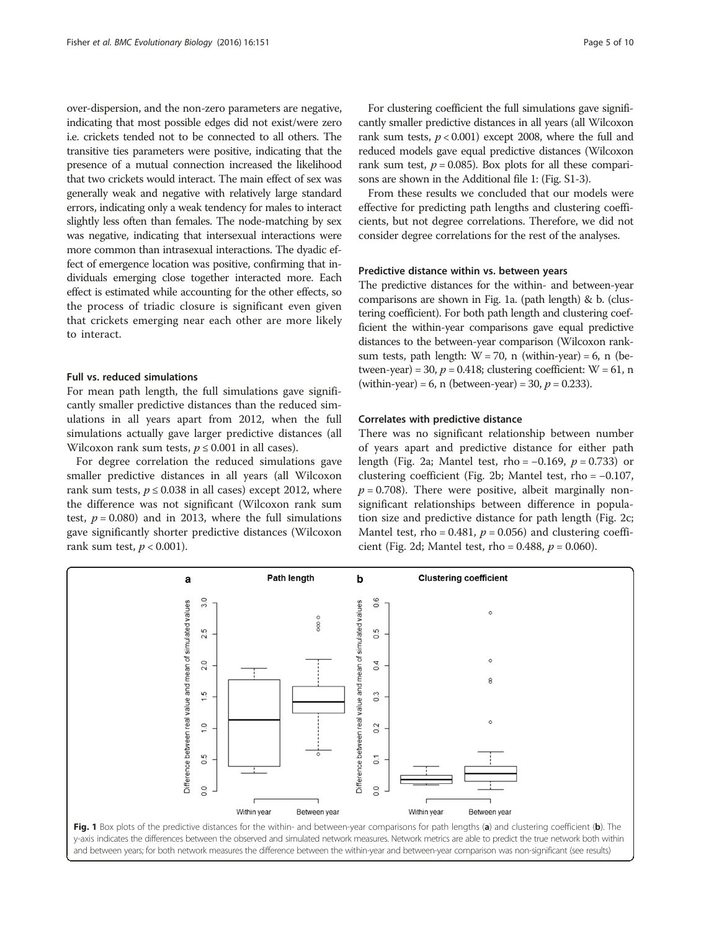over-dispersion, and the non-zero parameters are negative, indicating that most possible edges did not exist/were zero i.e. crickets tended not to be connected to all others. The transitive ties parameters were positive, indicating that the presence of a mutual connection increased the likelihood that two crickets would interact. The main effect of sex was generally weak and negative with relatively large standard errors, indicating only a weak tendency for males to interact slightly less often than females. The node-matching by sex was negative, indicating that intersexual interactions were more common than intrasexual interactions. The dyadic effect of emergence location was positive, confirming that individuals emerging close together interacted more. Each effect is estimated while accounting for the other effects, so the process of triadic closure is significant even given that crickets emerging near each other are more likely to interact.

## Full vs. reduced simulations

For mean path length, the full simulations gave significantly smaller predictive distances than the reduced simulations in all years apart from 2012, when the full simulations actually gave larger predictive distances (all Wilcoxon rank sum tests,  $p \leq 0.001$  in all cases).

For degree correlation the reduced simulations gave smaller predictive distances in all years (all Wilcoxon rank sum tests,  $p \le 0.038$  in all cases) except 2012, where the difference was not significant (Wilcoxon rank sum test,  $p = 0.080$ ) and in 2013, where the full simulations gave significantly shorter predictive distances (Wilcoxon rank sum test,  $p < 0.001$ ).

For clustering coefficient the full simulations gave significantly smaller predictive distances in all years (all Wilcoxon rank sum tests,  $p < 0.001$ ) except 2008, where the full and reduced models gave equal predictive distances (Wilcoxon rank sum test,  $p = 0.085$ ). Box plots for all these comparisons are shown in the Additional file [1:](#page-7-0) (Fig. S1-3).

From these results we concluded that our models were effective for predicting path lengths and clustering coefficients, but not degree correlations. Therefore, we did not consider degree correlations for the rest of the analyses.

## Predictive distance within vs. between years

The predictive distances for the within- and between-year comparisons are shown in Fig. 1a. (path length) & b. (clustering coefficient). For both path length and clustering coefficient the within-year comparisons gave equal predictive distances to the between-year comparison (Wilcoxon ranksum tests, path length:  $W = 70$ , n (within-year) = 6, n (between-year) = 30,  $p = 0.418$ ; clustering coefficient: W = 61, n (within-year) = 6, n (between-year) = 30,  $p = 0.233$ ).

#### Correlates with predictive distance

There was no significant relationship between number of years apart and predictive distance for either path length (Fig. [2a](#page-5-0); Mantel test, rho =  $-0.169$ ,  $p = 0.733$ ) or clustering coefficient (Fig. [2b;](#page-5-0) Mantel test, rho = −0.107,  $p = 0.708$ ). There were positive, albeit marginally nonsignificant relationships between difference in population size and predictive distance for path length (Fig. [2c](#page-5-0); Mantel test, rho =  $0.481$ ,  $p = 0.056$ ) and clustering coeffi-cient (Fig. [2d](#page-5-0); Mantel test, rho = 0.488,  $p = 0.060$ ).



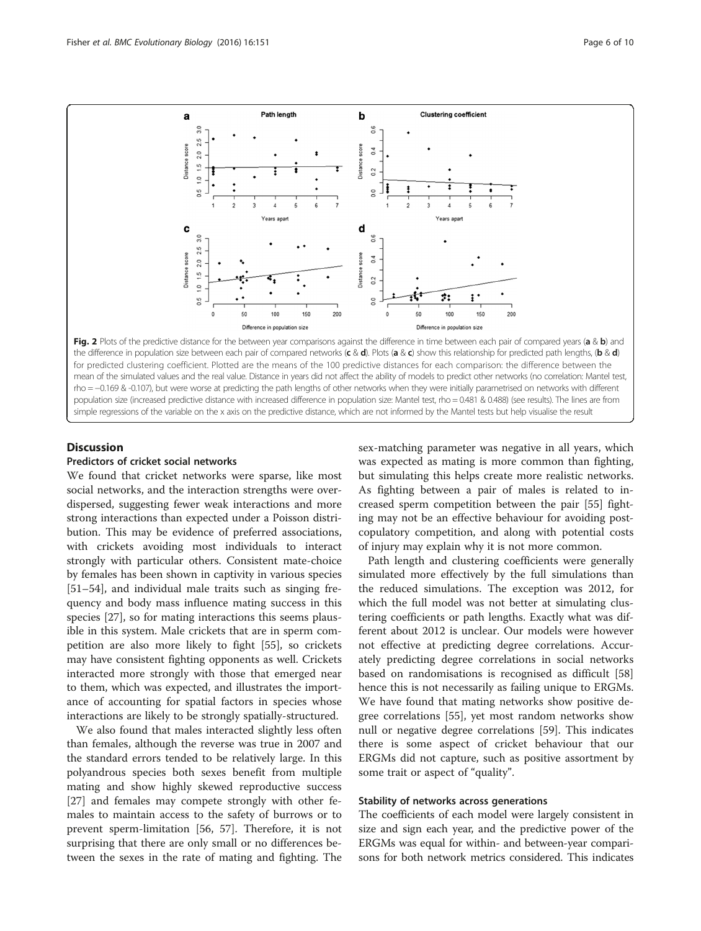<span id="page-5-0"></span>

simple regressions of the variable on the x axis on the predictive distance, which are not informed by the Mantel tests but help visualise the result

## Discussion

#### Predictors of cricket social networks

We found that cricket networks were sparse, like most social networks, and the interaction strengths were overdispersed, suggesting fewer weak interactions and more strong interactions than expected under a Poisson distribution. This may be evidence of preferred associations, with crickets avoiding most individuals to interact strongly with particular others. Consistent mate-choice by females has been shown in captivity in various species [[51](#page-9-0)–[54](#page-9-0)], and individual male traits such as singing frequency and body mass influence mating success in this species [[27](#page-8-0)], so for mating interactions this seems plausible in this system. Male crickets that are in sperm competition are also more likely to fight [[55\]](#page-9-0), so crickets may have consistent fighting opponents as well. Crickets interacted more strongly with those that emerged near to them, which was expected, and illustrates the importance of accounting for spatial factors in species whose interactions are likely to be strongly spatially-structured.

We also found that males interacted slightly less often than females, although the reverse was true in 2007 and the standard errors tended to be relatively large. In this polyandrous species both sexes benefit from multiple mating and show highly skewed reproductive success [[27\]](#page-8-0) and females may compete strongly with other females to maintain access to the safety of burrows or to prevent sperm-limitation [[56](#page-9-0), [57](#page-9-0)]. Therefore, it is not surprising that there are only small or no differences between the sexes in the rate of mating and fighting. The sex-matching parameter was negative in all years, which was expected as mating is more common than fighting, but simulating this helps create more realistic networks. As fighting between a pair of males is related to increased sperm competition between the pair [[55](#page-9-0)] fighting may not be an effective behaviour for avoiding postcopulatory competition, and along with potential costs of injury may explain why it is not more common.

Path length and clustering coefficients were generally simulated more effectively by the full simulations than the reduced simulations. The exception was 2012, for which the full model was not better at simulating clustering coefficients or path lengths. Exactly what was different about 2012 is unclear. Our models were however not effective at predicting degree correlations. Accurately predicting degree correlations in social networks based on randomisations is recognised as difficult [[58](#page-9-0)] hence this is not necessarily as failing unique to ERGMs. We have found that mating networks show positive degree correlations [\[55](#page-9-0)], yet most random networks show null or negative degree correlations [\[59](#page-9-0)]. This indicates there is some aspect of cricket behaviour that our ERGMs did not capture, such as positive assortment by some trait or aspect of "quality".

## Stability of networks across generations

The coefficients of each model were largely consistent in size and sign each year, and the predictive power of the ERGMs was equal for within- and between-year comparisons for both network metrics considered. This indicates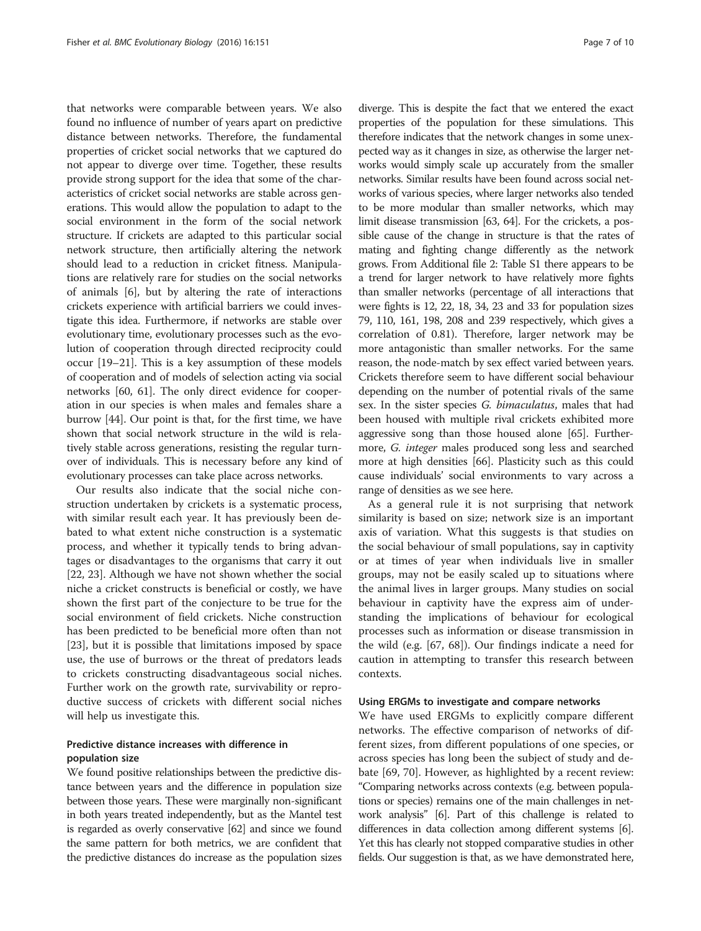that networks were comparable between years. We also found no influence of number of years apart on predictive distance between networks. Therefore, the fundamental properties of cricket social networks that we captured do not appear to diverge over time. Together, these results provide strong support for the idea that some of the characteristics of cricket social networks are stable across generations. This would allow the population to adapt to the social environment in the form of the social network structure. If crickets are adapted to this particular social network structure, then artificially altering the network should lead to a reduction in cricket fitness. Manipulations are relatively rare for studies on the social networks of animals [[6](#page-8-0)], but by altering the rate of interactions crickets experience with artificial barriers we could investigate this idea. Furthermore, if networks are stable over evolutionary time, evolutionary processes such as the evolution of cooperation through directed reciprocity could occur [[19](#page-8-0)–[21](#page-8-0)]. This is a key assumption of these models of cooperation and of models of selection acting via social networks [[60](#page-9-0), [61\]](#page-9-0). The only direct evidence for cooperation in our species is when males and females share a burrow [\[44\]](#page-8-0). Our point is that, for the first time, we have shown that social network structure in the wild is relatively stable across generations, resisting the regular turnover of individuals. This is necessary before any kind of evolutionary processes can take place across networks.

Our results also indicate that the social niche construction undertaken by crickets is a systematic process, with similar result each year. It has previously been debated to what extent niche construction is a systematic process, and whether it typically tends to bring advantages or disadvantages to the organisms that carry it out [[22, 23\]](#page-8-0). Although we have not shown whether the social niche a cricket constructs is beneficial or costly, we have shown the first part of the conjecture to be true for the social environment of field crickets. Niche construction has been predicted to be beneficial more often than not [[23\]](#page-8-0), but it is possible that limitations imposed by space use, the use of burrows or the threat of predators leads to crickets constructing disadvantageous social niches. Further work on the growth rate, survivability or reproductive success of crickets with different social niches will help us investigate this.

## Predictive distance increases with difference in population size

We found positive relationships between the predictive distance between years and the difference in population size between those years. These were marginally non-significant in both years treated independently, but as the Mantel test is regarded as overly conservative [\[62\]](#page-9-0) and since we found the same pattern for both metrics, we are confident that the predictive distances do increase as the population sizes diverge. This is despite the fact that we entered the exact properties of the population for these simulations. This therefore indicates that the network changes in some unexpected way as it changes in size, as otherwise the larger networks would simply scale up accurately from the smaller networks. Similar results have been found across social networks of various species, where larger networks also tended to be more modular than smaller networks, which may limit disease transmission [\[63](#page-9-0), [64](#page-9-0)]. For the crickets, a possible cause of the change in structure is that the rates of mating and fighting change differently as the network grows. From Additional file [2:](#page-7-0) Table S1 there appears to be a trend for larger network to have relatively more fights than smaller networks (percentage of all interactions that were fights is 12, 22, 18, 34, 23 and 33 for population sizes 79, 110, 161, 198, 208 and 239 respectively, which gives a correlation of 0.81). Therefore, larger network may be more antagonistic than smaller networks. For the same reason, the node-match by sex effect varied between years. Crickets therefore seem to have different social behaviour depending on the number of potential rivals of the same sex. In the sister species G. bimaculatus, males that had been housed with multiple rival crickets exhibited more aggressive song than those housed alone [\[65](#page-9-0)]. Furthermore, G. integer males produced song less and searched more at high densities [[66](#page-9-0)]. Plasticity such as this could cause individuals' social environments to vary across a range of densities as we see here.

As a general rule it is not surprising that network similarity is based on size; network size is an important axis of variation. What this suggests is that studies on the social behaviour of small populations, say in captivity or at times of year when individuals live in smaller groups, may not be easily scaled up to situations where the animal lives in larger groups. Many studies on social behaviour in captivity have the express aim of understanding the implications of behaviour for ecological processes such as information or disease transmission in the wild (e.g. [[67](#page-9-0), [68](#page-9-0)]). Our findings indicate a need for caution in attempting to transfer this research between contexts.

#### Using ERGMs to investigate and compare networks

We have used ERGMs to explicitly compare different networks. The effective comparison of networks of different sizes, from different populations of one species, or across species has long been the subject of study and debate [[69, 70\]](#page-9-0). However, as highlighted by a recent review: "Comparing networks across contexts (e.g. between populations or species) remains one of the main challenges in network analysis" [\[6](#page-8-0)]. Part of this challenge is related to differences in data collection among different systems [\[6](#page-8-0)]. Yet this has clearly not stopped comparative studies in other fields. Our suggestion is that, as we have demonstrated here,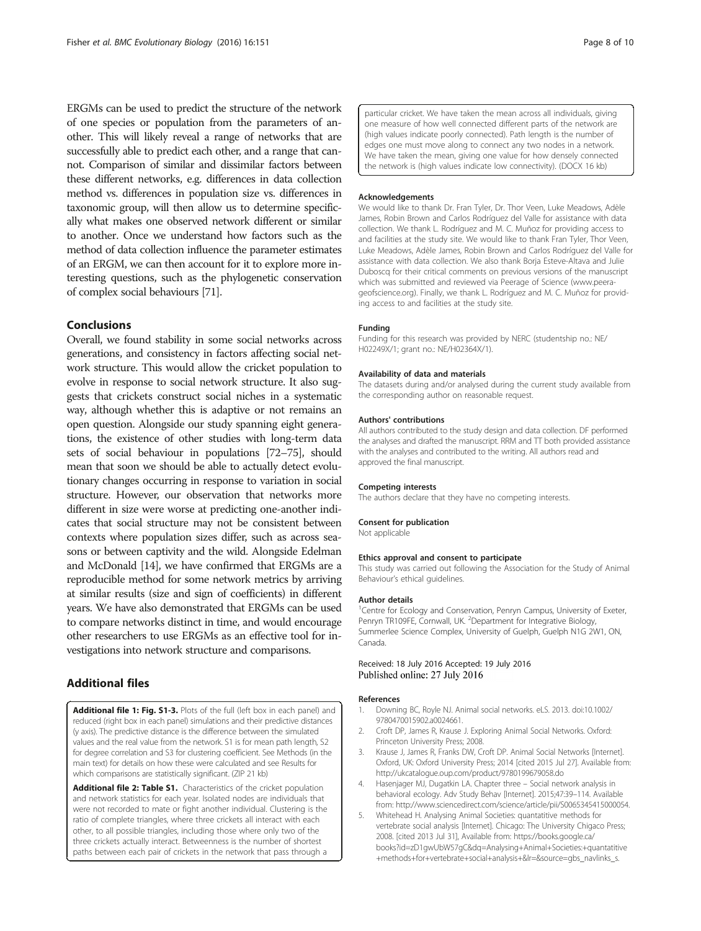<span id="page-7-0"></span>ERGMs can be used to predict the structure of the network of one species or population from the parameters of another. This will likely reveal a range of networks that are successfully able to predict each other, and a range that cannot. Comparison of similar and dissimilar factors between these different networks, e.g. differences in data collection method vs. differences in population size vs. differences in taxonomic group, will then allow us to determine specifically what makes one observed network different or similar to another. Once we understand how factors such as the method of data collection influence the parameter estimates of an ERGM, we can then account for it to explore more interesting questions, such as the phylogenetic conservation of complex social behaviours [\[71\]](#page-9-0).

## Conclusions

Overall, we found stability in some social networks across generations, and consistency in factors affecting social network structure. This would allow the cricket population to evolve in response to social network structure. It also suggests that crickets construct social niches in a systematic way, although whether this is adaptive or not remains an open question. Alongside our study spanning eight generations, the existence of other studies with long-term data sets of social behaviour in populations [\[72](#page-9-0)–[75\]](#page-9-0), should mean that soon we should be able to actually detect evolutionary changes occurring in response to variation in social structure. However, our observation that networks more different in size were worse at predicting one-another indicates that social structure may not be consistent between contexts where population sizes differ, such as across seasons or between captivity and the wild. Alongside Edelman and McDonald [\[14\]](#page-8-0), we have confirmed that ERGMs are a reproducible method for some network metrics by arriving at similar results (size and sign of coefficients) in different years. We have also demonstrated that ERGMs can be used to compare networks distinct in time, and would encourage other researchers to use ERGMs as an effective tool for investigations into network structure and comparisons.

## Additional files

[Additional file 1: Fig. S1-3.](dx.doi.org/10.1186/s12862-016-0726-9) Plots of the full (left box in each panel) and reduced (right box in each panel) simulations and their predictive distances (y axis). The predictive distance is the difference between the simulated values and the real value from the network. S1 is for mean path length, S2 for degree correlation and S3 for clustering coefficient. See Methods (in the main text) for details on how these were calculated and see Results for which comparisons are statistically significant. (ZIP 21 kb)

[Additional file 2: Table S1.](dx.doi.org/10.1186/s12862-016-0726-9) Characteristics of the cricket population and network statistics for each year. Isolated nodes are individuals that were not recorded to mate or fight another individual. Clustering is the ratio of complete triangles, where three crickets all interact with each other, to all possible triangles, including those where only two of the three crickets actually interact. Betweenness is the number of shortest paths between each pair of crickets in the network that pass through a particular cricket. We have taken the mean across all individuals, giving one measure of how well connected different parts of the network are (high values indicate poorly connected). Path length is the number of edges one must move along to connect any two nodes in a network. We have taken the mean, giving one value for how densely connected the network is (high values indicate low connectivity). (DOCX 16 kb)

#### Acknowledgements

We would like to thank Dr. Fran Tyler, Dr. Thor Veen, Luke Meadows, Adèle James, Robin Brown and Carlos Rodríguez del Valle for assistance with data collection. We thank L. Rodríguez and M. C. Muñoz for providing access to and facilities at the study site. We would like to thank Fran Tyler, Thor Veen, Luke Meadows, Adèle James, Robin Brown and Carlos Rodríguez del Valle for assistance with data collection. We also thank Borja Esteve-Altava and Julie Duboscq for their critical comments on previous versions of the manuscript which was submitted and reviewed via Peerage of Science (www.peerageofscience.org). Finally, we thank L. Rodríguez and M. C. Muñoz for providing access to and facilities at the study site.

#### Funding

Funding for this research was provided by NERC (studentship no.: NE/ H02249X/1; grant no.: NE/H02364X/1).

#### Availability of data and materials

The datasets during and/or analysed during the current study available from the corresponding author on reasonable request.

#### Authors' contributions

All authors contributed to the study design and data collection. DF performed the analyses and drafted the manuscript. RRM and TT both provided assistance with the analyses and contributed to the writing. All authors read and approved the final manuscript.

#### Competing interests

The authors declare that they have no competing interests.

#### Consent for publication

Not applicable

#### Ethics approval and consent to participate

This study was carried out following the Association for the Study of Animal Behaviour's ethical guidelines.

#### Author details

<sup>1</sup> Centre for Ecology and Conservation, Penryn Campus, University of Exeter, Penryn TR109FE, Cornwall, UK. <sup>2</sup>Department for Integrative Biology, Summerlee Science Complex, University of Guelph, Guelph N1G 2W1, ON, Canada.

#### Received: 18 July 2016 Accepted: 19 July 2016 Published online: 27 July 2016

#### References

- 1. Downing BC, Royle NJ. Animal social networks. eLS. 2013. doi[:10.1002/](http://dx.doi.org/10.1002/9780470015902.a0024661) [9780470015902.a0024661](http://dx.doi.org/10.1002/9780470015902.a0024661).
- 2. Croft DP, James R, Krause J. Exploring Animal Social Networks. Oxford: Princeton University Press; 2008.
- 3. Krause J, James R, Franks DW, Croft DP. Animal Social Networks [Internet]. Oxford, UK: Oxford University Press; 2014 [cited 2015 Jul 27]. Available from: <http://ukcatalogue.oup.com/product/9780199679058.do>
- 4. Hasenjager MJ, Dugatkin LA. Chapter three Social network analysis in behavioral ecology. Adv Study Behav [Internet]. 2015;47:39–114. Available from:<http://www.sciencedirect.com/science/article/pii/S0065345415000054>.
- 5. Whitehead H. Analysing Animal Societies: quantatitive methods for vertebrate social analysis [Internet]. Chicago: The University Chigaco Press; 2008. [cited 2013 Jul 31], Available from: [https://books.google.ca/](https://books.google.ca/books?id=zD1gwUbW57gC&dq=Analysing+Animal+Societies:+quantatitive+methods+for+vertebrate+social+analysis+&lr=&source=gbs_navlinks_s) [books?id=zD1gwUbW57gC&dq=Analysing+Animal+Societies:+quantatitive](https://books.google.ca/books?id=zD1gwUbW57gC&dq=Analysing+Animal+Societies:+quantatitive+methods+for+vertebrate+social+analysis+&lr=&source=gbs_navlinks_s) [+methods+for+vertebrate+social+analysis+&lr=&source=gbs\\_navlinks\\_s](https://books.google.ca/books?id=zD1gwUbW57gC&dq=Analysing+Animal+Societies:+quantatitive+methods+for+vertebrate+social+analysis+&lr=&source=gbs_navlinks_s).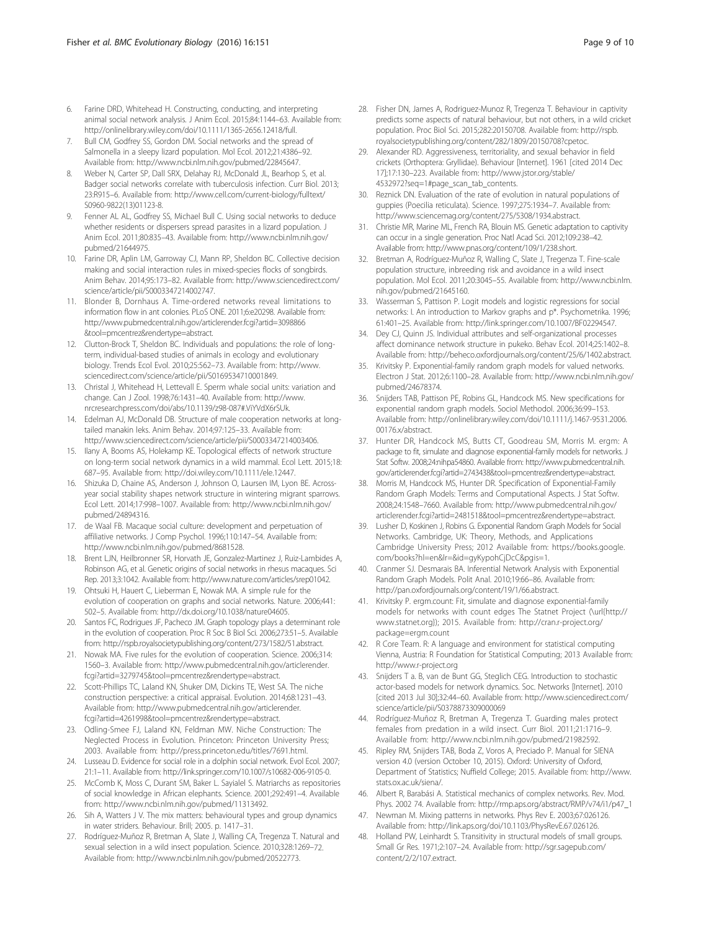- <span id="page-8-0"></span>6. Farine DRD, Whitehead H. Constructing, conducting, and interpreting animal social network analysis. J Anim Ecol. 2015;84:1144–63. Available from: <http://onlinelibrary.wiley.com/doi/10.1111/1365-2656.12418/full>.
- Bull CM, Godfrey SS, Gordon DM. Social networks and the spread of Salmonella in a sleepy lizard population. Mol Ecol. 2012;21:4386–92. Available from:<http://www.ncbi.nlm.nih.gov/pubmed/22845647>.
- Weber N, Carter SP, Dall SRX, Delahay RJ, McDonald JL, Bearhop S, et al. Badger social networks correlate with tuberculosis infection. Curr Biol. 2013; 23:R915–6. Available from: [http://www.cell.com/current-biology/fulltext/](http://www.cell.com/current-biology/fulltext/S0960-9822(13)01123-8) [S0960-9822\(13\)01123-8](http://www.cell.com/current-biology/fulltext/S0960-9822(13)01123-8).
- 9. Fenner AL AL, Godfrey SS, Michael Bull C. Using social networks to deduce whether residents or dispersers spread parasites in a lizard population. J Anim Ecol. 2011;80:835–43. Available from: [http://www.ncbi.nlm.nih.gov/](http://www.ncbi.nlm.nih.gov/pubmed/21644975) [pubmed/21644975.](http://www.ncbi.nlm.nih.gov/pubmed/21644975)
- 10. Farine DR, Aplin LM, Garroway CJ, Mann RP, Sheldon BC. Collective decision making and social interaction rules in mixed-species flocks of songbirds. Anim Behav. 2014;95:173–82. Available from: [http://www.sciencedirect.com/](http://www.sciencedirect.com/science/article/pii/S0003347214002747) [science/article/pii/S0003347214002747.](http://www.sciencedirect.com/science/article/pii/S0003347214002747)
- 11. Blonder B, Dornhaus A. Time-ordered networks reveal limitations to information flow in ant colonies. PLoS ONE. 2011;6:e20298. Available from: [http://www.pubmedcentral.nih.gov/articlerender.fcgi?artid=3098866](http://www.pubmedcentral.nih.gov/articlerender.fcgi?artid=3098866&tool=pmcentrez&rendertype=abstract) [&tool=pmcentrez&rendertype=abstract.](http://www.pubmedcentral.nih.gov/articlerender.fcgi?artid=3098866&tool=pmcentrez&rendertype=abstract)
- 12. Clutton-Brock T, Sheldon BC. Individuals and populations: the role of longterm, individual-based studies of animals in ecology and evolutionary biology. Trends Ecol Evol. 2010;25:562–73. Available from: [http://www.](http://www.sciencedirect.com/science/article/pii/S0169534710001849) [sciencedirect.com/science/article/pii/S0169534710001849.](http://www.sciencedirect.com/science/article/pii/S0169534710001849)
- 13. Christal J, Whitehead H, Lettevall E. Sperm whale social units: variation and change. Can J Zool. 1998;76:1431–40. Available from: [http://www.](http://www.nrcresearchpress.com/doi/abs/10.1139/z98-087#.ViYVdX6rSUk) [nrcresearchpress.com/doi/abs/10.1139/z98-087#.ViYVdX6rSUk](http://www.nrcresearchpress.com/doi/abs/10.1139/z98-087#.ViYVdX6rSUk).
- 14. Edelman AJ, McDonald DB. Structure of male cooperation networks at longtailed manakin leks. Anim Behav. 2014;97:125–33. Available from: <http://www.sciencedirect.com/science/article/pii/S0003347214003406>.
- 15. Ilany A, Booms AS, Holekamp KE. Topological effects of network structure on long-term social network dynamics in a wild mammal. Ecol Lett. 2015;18: 687–95. Available from: [http://doi.wiley.com/10.1111/ele.12447.](http://doi.wiley.com/10.1111/ele.12447)
- 16. Shizuka D, Chaine AS, Anderson J, Johnson O, Laursen IM, Lyon BE. Acrossyear social stability shapes network structure in wintering migrant sparrows. Ecol Lett. 2014;17:998–1007. Available from: [http://www.ncbi.nlm.nih.gov/](http://www.ncbi.nlm.nih.gov/pubmed/24894316) [pubmed/24894316.](http://www.ncbi.nlm.nih.gov/pubmed/24894316)
- 17. de Waal FB. Macaque social culture: development and perpetuation of affiliative networks. J Comp Psychol. 1996;110:147–54. Available from: <http://www.ncbi.nlm.nih.gov/pubmed/8681528>.
- 18. Brent LJN, Heilbronner SR, Horvath JE, Gonzalez-Martinez J, Ruiz-Lambides A, Robinson AG, et al. Genetic origins of social networks in rhesus macaques. Sci Rep. 2013;3:1042. Available from: [http://www.nature.com/articles/srep01042.](http://www.nature.com/articles/srep01042)
- 19. Ohtsuki H, Hauert C, Lieberman E, Nowak MA. A simple rule for the evolution of cooperation on graphs and social networks. Nature. 2006;441: 502–5. Available from: [http://dx.doi.org/10.1038/nature04605.](http://dx.doi.org/10.1038/nature04605)
- 20. Santos FC, Rodrigues JF, Pacheco JM. Graph topology plays a determinant role in the evolution of cooperation. Proc R Soc B Biol Sci. 2006;273:51–5. Available from: [http://rspb.royalsocietypublishing.org/content/273/1582/51.abstract.](http://rspb.royalsocietypublishing.org/content/273/1582/51.abstract)
- 21. Nowak MA. Five rules for the evolution of cooperation. Science. 2006;314: 1560–3. Available from: [http://www.pubmedcentral.nih.gov/articlerender.](http://www.pubmedcentral.nih.gov/articlerender.fcgi?artid=3279745&tool=pmcentrez&rendertype=abstract) [fcgi?artid=3279745&tool=pmcentrez&rendertype=abstract.](http://www.pubmedcentral.nih.gov/articlerender.fcgi?artid=3279745&tool=pmcentrez&rendertype=abstract)
- 22. Scott-Phillips TC, Laland KN, Shuker DM, Dickins TE, West SA. The niche construction perspective: a critical appraisal. Evolution. 2014;68:1231–43. Available from: [http://www.pubmedcentral.nih.gov/articlerender.](http://www.pubmedcentral.nih.gov/articlerender.fcgi?artid=4261998&tool=pmcentrez&rendertype=abstract) [fcgi?artid=4261998&tool=pmcentrez&rendertype=abstract.](http://www.pubmedcentral.nih.gov/articlerender.fcgi?artid=4261998&tool=pmcentrez&rendertype=abstract)
- 23. Odling-Smee FJ, Laland KN, Feldman MW. Niche Construction: The Neglected Process in Evolution. Princeton: Princeton University Press; 2003. Available from:<http://press.princeton.edu/titles/7691.html>.
- 24. Lusseau D. Evidence for social role in a dolphin social network. Evol Ecol. 2007; 21:1–11. Available from: [http://link.springer.com/10.1007/s10682-006-9105-0.](http://link.springer.com/10.1007/s10682-006-9105-0)
- 25. McComb K, Moss C, Durant SM, Baker L. Sayialel S. Matriarchs as repositories of social knowledge in African elephants. Science. 2001;292:491–4. Available from:<http://www.ncbi.nlm.nih.gov/pubmed/11313492>.
- 26. Sih A, Watters J V. The mix matters: behavioural types and group dynamics in water striders. Behaviour. Brill; 2005. p. 1417–31.
- 27. Rodríguez-Muñoz R, Bretman A, Slate J, Walling CA, Tregenza T. Natural and sexual selection in a wild insect population. Science. 2010;328:1269–72. Available from:<http://www.ncbi.nlm.nih.gov/pubmed/20522773>.
- 28. Fisher DN, James A, Rodriguez-Munoz R, Tregenza T. Behaviour in captivity predicts some aspects of natural behaviour, but not others, in a wild cricket population. Proc Biol Sci. 2015;282:20150708. Available from: [http://rspb.](http://rspb.royalsocietypublishing.org/content/282/1809/20150708?cpetoc) [royalsocietypublishing.org/content/282/1809/20150708?cpetoc](http://rspb.royalsocietypublishing.org/content/282/1809/20150708?cpetoc).
- 29. Alexander RD. Aggressiveness, territoriality, and sexual behavior in field crickets (Orthoptera: Gryllidae). Behaviour [Internet]. 1961 [cited 2014 Dec 17];17:130–223. Available from: [http://www.jstor.org/stable/](http://www.jstor.org/stable/4532972?seq=1#page_scan_tab_contents) [4532972?seq=1#page\\_scan\\_tab\\_contents.](http://www.jstor.org/stable/4532972?seq=1#page_scan_tab_contents)
- 30. Reznick DN. Evaluation of the rate of evolution in natural populations of guppies (Poecilia reticulata). Science. 1997;275:1934–7. Available from: [http://www.sciencemag.org/content/275/5308/1934.abstract.](http://www.sciencemag.org/content/275/5308/1934.abstract)
- 31. Christie MR, Marine ML, French RA, Blouin MS. Genetic adaptation to captivity can occur in a single generation. Proc Natl Acad Sci. 2012;109:238–42. Available from:<http://www.pnas.org/content/109/1/238.short>.
- 32. Bretman A, Rodríguez-Muñoz R, Walling C, Slate J, Tregenza T. Fine-scale population structure, inbreeding risk and avoidance in a wild insect population. Mol Ecol. 2011;20:3045–55. Available from: [http://www.ncbi.nlm.](http://www.ncbi.nlm.nih.gov/pubmed/21645160) [nih.gov/pubmed/21645160](http://www.ncbi.nlm.nih.gov/pubmed/21645160).
- 33. Wasserman S, Pattison P. Logit models and logistic regressions for social networks: I. An introduction to Markov graphs and p\*. Psychometrika. 1996; 61:401–25. Available from: [http://link.springer.com/10.1007/BF02294547.](http://link.springer.com/10.1007/BF02294547)
- 34. Dey CJ, Quinn JS. Individual attributes and self-organizational processes affect dominance network structure in pukeko. Behav Ecol. 2014;25:1402–8. Available from: [http://beheco.oxfordjournals.org/content/25/6/1402.abstract.](http://beheco.oxfordjournals.org/content/25/6/1402.abstract)
- 35. Krivitsky P. Exponential-family random graph models for valued networks. Electron J Stat. 2012;6:1100–28. Available from: [http://www.ncbi.nlm.nih.gov/](http://www.ncbi.nlm.nih.gov/pubmed/24678374) [pubmed/24678374.](http://www.ncbi.nlm.nih.gov/pubmed/24678374)
- 36. Snijders TAB, Pattison PE, Robins GL, Handcock MS. New specifications for exponential random graph models. Sociol Methodol. 2006;36:99–153. Available from: [http://onlinelibrary.wiley.com/doi/10.1111/j.1467-9531.2006.](http://onlinelibrary.wiley.com/doi/10.1111/j.1467-9531.2006.00176.x/abstract) [00176.x/abstract.](http://onlinelibrary.wiley.com/doi/10.1111/j.1467-9531.2006.00176.x/abstract)
- 37. Hunter DR, Handcock MS, Butts CT, Goodreau SM, Morris M. ergm: A package to fit, simulate and diagnose exponential-family models for networks. J Stat Softw. 2008;24:nihpa54860. Available from: [http://www.pubmedcentral.nih.](http://www.pubmedcentral.nih.gov/articlerender.fcgi?artid=2743438&tool=pmcentrez&rendertype=abstract) [gov/articlerender.fcgi?artid=2743438&tool=pmcentrez&rendertype=abstract.](http://www.pubmedcentral.nih.gov/articlerender.fcgi?artid=2743438&tool=pmcentrez&rendertype=abstract)
- 38. Morris M, Handcock MS, Hunter DR. Specification of Exponential-Family Random Graph Models: Terms and Computational Aspects. J Stat Softw. 2008;24:1548–7660. Available from: [http://www.pubmedcentral.nih.gov/](http://www.pubmedcentral.nih.gov/articlerender.fcgi?artid=2481518&tool=pmcentrez&rendertype=abstract) [articlerender.fcgi?artid=2481518&tool=pmcentrez&rendertype=abstract.](http://www.pubmedcentral.nih.gov/articlerender.fcgi?artid=2481518&tool=pmcentrez&rendertype=abstract)
- 39. Lusher D, Koskinen J, Robins G. Exponential Random Graph Models for Social Networks. Cambridge, UK: Theory, Methods, and Applications Cambridge University Press; 2012 Available from: [https://books.google.](https://books.google.com/books?hl=en&lr=&id=gyKypohCjDcC&pgis=1) [com/books?hl=en&lr=&id=gyKypohCjDcC&pgis=1.](https://books.google.com/books?hl=en&lr=&id=gyKypohCjDcC&pgis=1)
- 40. Cranmer SJ. Desmarais BA. Inferential Network Analysis with Exponential Random Graph Models. Polit Anal. 2010;19:66–86. Available from: [http://pan.oxfordjournals.org/content/19/1/66.abstract.](http://pan.oxfordjournals.org/content/19/1/66.abstract)
- 41. Krivitsky P. ergm.count: Fit, simulate and diagnose exponential-family models for networks with count edges The Statnet Project (\url{[http://](http://www.statnet.org) [www.statnet.org}](http://www.statnet.org)); 2015. Available from: [http://cran.r-project.org/](http://cran.r-project.org/package=ergm.count) [package=ergm.count](http://cran.r-project.org/package=ergm.count)
- 42. R Core Team. R: A language and environment for statistical computing Vienna, Austria: R Foundation for Statistical Computing; 2013 Available from: <http://www.r-project.org>
- 43. Snijders T a. B, van de Bunt GG, Steglich CEG. Introduction to stochastic actor-based models for network dynamics. Soc. Networks [Internet]. 2010 [cited 2013 Jul 30];32:44–60. Available from: [http://www.sciencedirect.com/](http://www.sciencedirect.com/science/article/pii/S0378873309000069) [science/article/pii/S0378873309000069](http://www.sciencedirect.com/science/article/pii/S0378873309000069)
- 44. Rodríguez-Muñoz R, Bretman A, Tregenza T. Guarding males protect females from predation in a wild insect. Curr Biol. 2011;21:1716–9. Available from: [http://www.ncbi.nlm.nih.gov/pubmed/21982592.](http://www.ncbi.nlm.nih.gov/pubmed/21982592)
- 45. Ripley RM, Snijders TAB, Boda Z, Voros A, Preciado P. Manual for SIENA version 4.0 (version October 10, 2015). Oxford: University of Oxford, Department of Statistics; Nuffield College; 2015. Available from: [http://www.](http://www.stats.ox.ac.uk/siena/) [stats.ox.ac.uk/siena/](http://www.stats.ox.ac.uk/siena/).
- 46. Albert R, Barabási A. Statistical mechanics of complex networks. Rev. Mod. Phys. 2002 74. Available from: [http://rmp.aps.org/abstract/RMP/v74/i1/p47\\_1](http://rmp.aps.org/abstract/RMP/v74/i1/p47_1)
- 47. Newman M. Mixing patterns in networks. Phys Rev E. 2003;67:026126. Available from: [http://link.aps.org/doi/10.1103/PhysRevE.67.026126.](http://link.aps.org/doi/10.1103/PhysRevE.67.026126)
- 48. Holland PW, Leinhardt S. Transitivity in structural models of small groups. Small Gr Res. 1971;2:107–24. Available from: [http://sgr.sagepub.com/](http://sgr.sagepub.com/content/2/2/107.extract) [content/2/2/107.extract.](http://sgr.sagepub.com/content/2/2/107.extract)